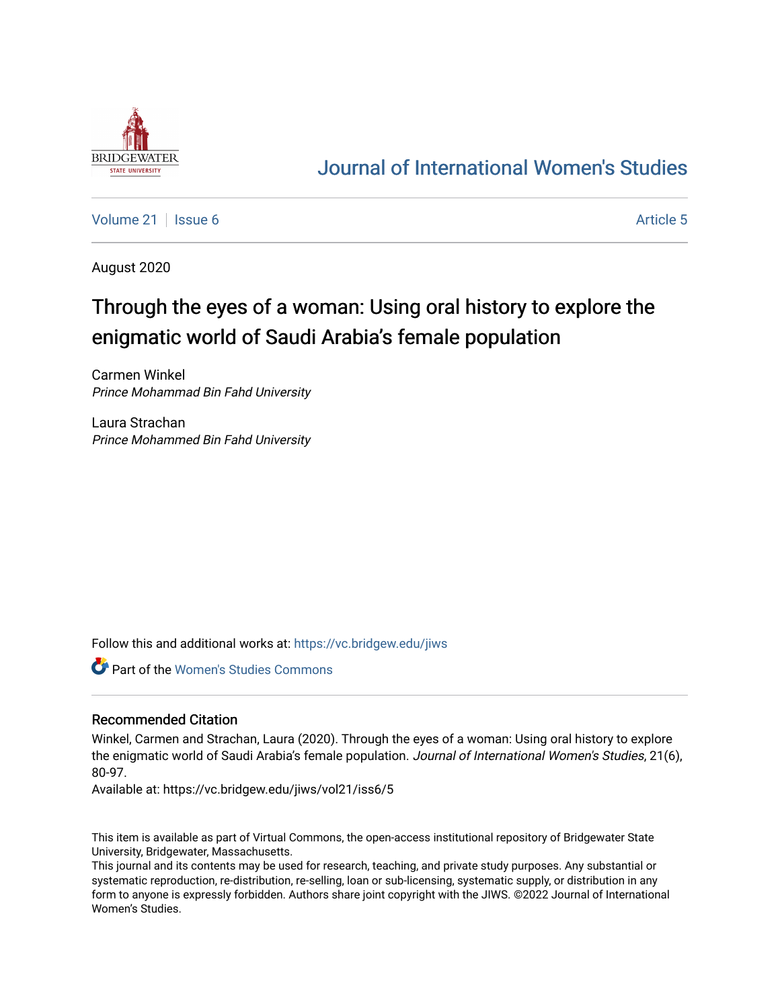

# [Journal of International Women's Studies](https://vc.bridgew.edu/jiws)

[Volume 21](https://vc.bridgew.edu/jiws/vol21) | [Issue 6](https://vc.bridgew.edu/jiws/vol21/iss6) Article 5

August 2020

# Through the eyes of a woman: Using oral history to explore the enigmatic world of Saudi Arabia's female population

Carmen Winkel Prince Mohammad Bin Fahd University

Laura Strachan Prince Mohammed Bin Fahd University

Follow this and additional works at: [https://vc.bridgew.edu/jiws](https://vc.bridgew.edu/jiws?utm_source=vc.bridgew.edu%2Fjiws%2Fvol21%2Fiss6%2F5&utm_medium=PDF&utm_campaign=PDFCoverPages)

Part of the [Women's Studies Commons](http://network.bepress.com/hgg/discipline/561?utm_source=vc.bridgew.edu%2Fjiws%2Fvol21%2Fiss6%2F5&utm_medium=PDF&utm_campaign=PDFCoverPages) 

# Recommended Citation

Winkel, Carmen and Strachan, Laura (2020). Through the eyes of a woman: Using oral history to explore the enigmatic world of Saudi Arabia's female population. Journal of International Women's Studies, 21(6), 80-97.

Available at: https://vc.bridgew.edu/jiws/vol21/iss6/5

This item is available as part of Virtual Commons, the open-access institutional repository of Bridgewater State University, Bridgewater, Massachusetts.

This journal and its contents may be used for research, teaching, and private study purposes. Any substantial or systematic reproduction, re-distribution, re-selling, loan or sub-licensing, systematic supply, or distribution in any form to anyone is expressly forbidden. Authors share joint copyright with the JIWS. ©2022 Journal of International Women's Studies.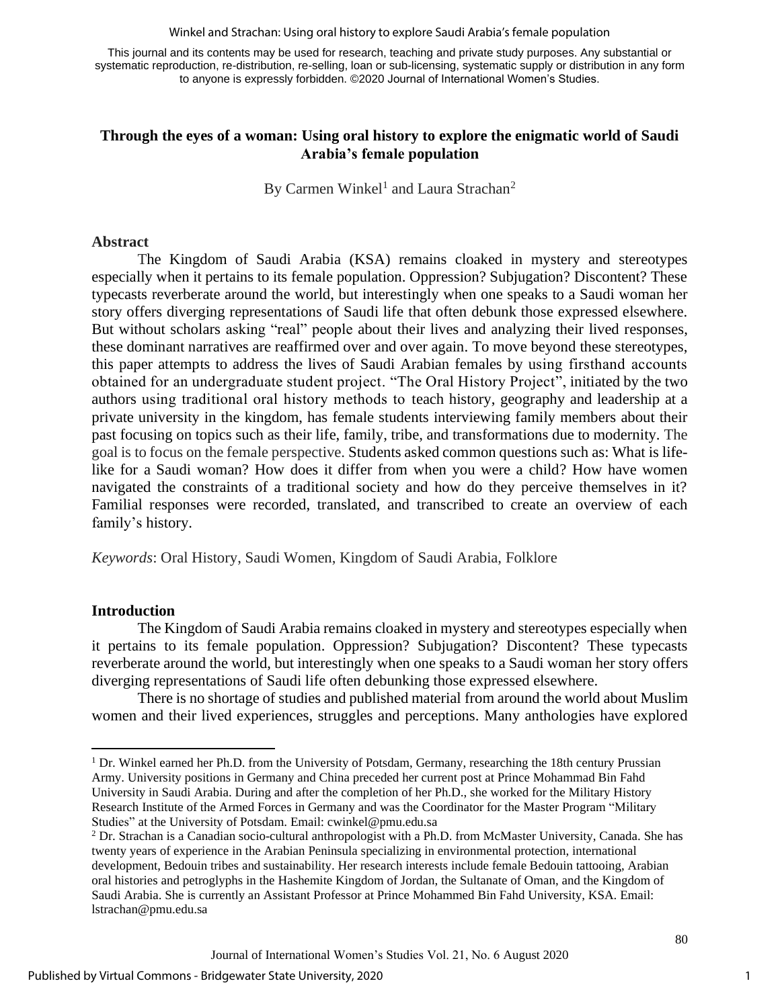Winkel and Strachan: Using oral history to explore Saudi Arabia's female population

This journal and its contents may be used for research, teaching and private study purposes. Any substantial or systematic reproduction, re-distribution, re-selling, loan or sub-licensing, systematic supply or distribution in any form to anyone is expressly forbidden. ©2020 Journal of International Women's Studies.

# **Through the eyes of a woman: Using oral history to explore the enigmatic world of Saudi Arabia's female population**

By Carmen Winkel<sup>1</sup> and Laura Strachan<sup>2</sup>

#### **Abstract**

The Kingdom of Saudi Arabia (KSA) remains cloaked in mystery and stereotypes especially when it pertains to its female population. Oppression? Subjugation? Discontent? These typecasts reverberate around the world, but interestingly when one speaks to a Saudi woman her story offers diverging representations of Saudi life that often debunk those expressed elsewhere. But without scholars asking "real" people about their lives and analyzing their lived responses, these dominant narratives are reaffirmed over and over again. To move beyond these stereotypes, this paper attempts to address the lives of Saudi Arabian females by using firsthand accounts obtained for an undergraduate student project. "The Oral History Project", initiated by the two authors using traditional oral history methods to teach history, geography and leadership at a private university in the kingdom, has female students interviewing family members about their past focusing on topics such as their life, family, tribe, and transformations due to modernity. The goal is to focus on the female perspective. Students asked common questions such as: What is lifelike for a Saudi woman? How does it differ from when you were a child? How have women navigated the constraints of a traditional society and how do they perceive themselves in it? Familial responses were recorded, translated, and transcribed to create an overview of each family's history.

*Keywords*: Oral History, Saudi Women, Kingdom of Saudi Arabia, Folklore

# **Introduction**

The Kingdom of Saudi Arabia remains cloaked in mystery and stereotypes especially when it pertains to its female population. Oppression? Subjugation? Discontent? These typecasts reverberate around the world, but interestingly when one speaks to a Saudi woman her story offers diverging representations of Saudi life often debunking those expressed elsewhere.

There is no shortage of studies and published material from around the world about Muslim women and their lived experiences, struggles and perceptions. Many anthologies have explored

<sup>&</sup>lt;sup>1</sup> Dr. Winkel earned her Ph.D. from the University of Potsdam, Germany, researching the 18th century Prussian Army. University positions in Germany and China preceded her current post at Prince Mohammad Bin Fahd University in Saudi Arabia. During and after the completion of her Ph.D., she worked for the Military History Research Institute of the Armed Forces in Germany and was the Coordinator for the Master Program "Military Studies" at the University of Potsdam. Email: [cwinkel@pmu.edu.sa](mailto:cwinkel@pmu.edu.sa)

<sup>2</sup> Dr. Strachan is a Canadian socio-cultural anthropologist with a Ph.D. from McMaster University, Canada. She has twenty years of experience in the Arabian Peninsula specializing in environmental protection, international development, Bedouin tribes and sustainability. Her research interests include female Bedouin tattooing, Arabian oral histories and petroglyphs in the Hashemite Kingdom of Jordan, the Sultanate of Oman, and the Kingdom of Saudi Arabia. She is currently an Assistant Professor at Prince Mohammed Bin Fahd University, KSA. Email: [lstrachan@pmu.edu.sa](mailto:lstrachan@pmu.edu.sa)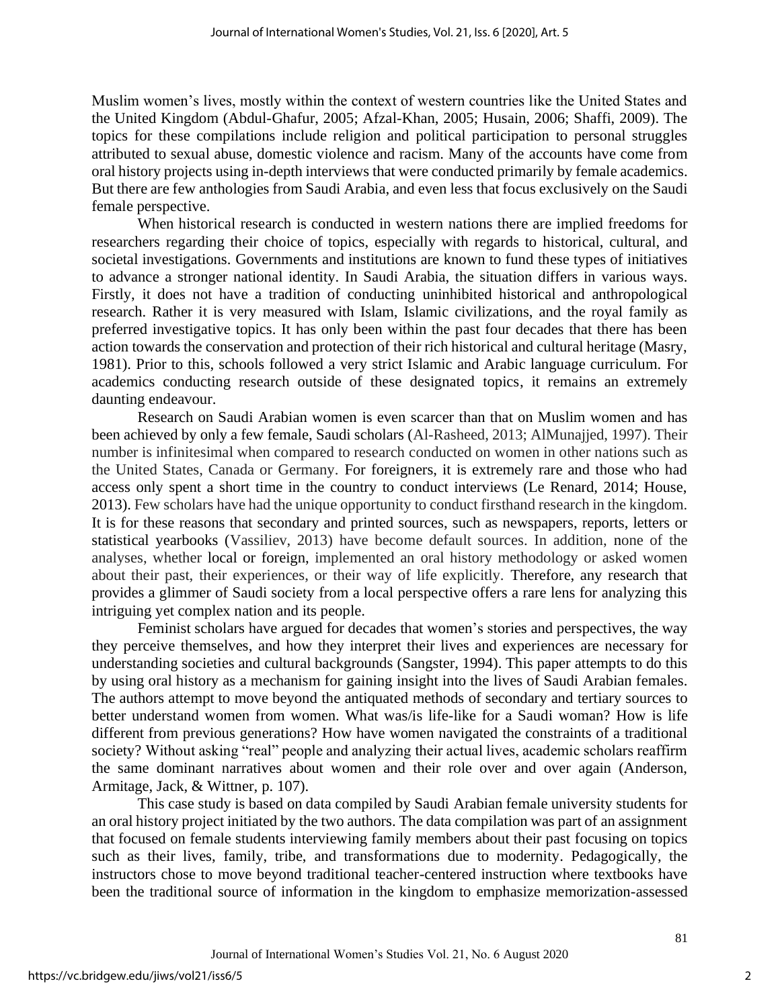Muslim women's lives, mostly within the context of western countries like the United States and the United Kingdom (Abdul-Ghafur, 2005; Afzal-Khan, 2005; Husain, 2006; Shaffi, 2009). The topics for these compilations include religion and political participation to personal struggles attributed to sexual abuse, domestic violence and racism. Many of the accounts have come from oral history projects using in-depth interviews that were conducted primarily by female academics. But there are few anthologies from Saudi Arabia, and even less that focus exclusively on the Saudi female perspective.

When historical research is conducted in western nations there are implied freedoms for researchers regarding their choice of topics, especially with regards to historical, cultural, and societal investigations. Governments and institutions are known to fund these types of initiatives to advance a stronger national identity. In Saudi Arabia, the situation differs in various ways. Firstly, it does not have a tradition of conducting uninhibited historical and anthropological research. Rather it is very measured with Islam, Islamic civilizations, and the royal family as preferred investigative topics. It has only been within the past four decades that there has been action towards the conservation and protection of their rich historical and cultural heritage (Masry, 1981). Prior to this, schools followed a very strict Islamic and Arabic language curriculum. For academics conducting research outside of these designated topics, it remains an extremely daunting endeavour.

Research on Saudi Arabian women is even scarcer than that on Muslim women and has been achieved by only a few female, Saudi scholars (Al-Rasheed, 2013; AlMunajjed, 1997). Their number is infinitesimal when compared to research conducted on women in other nations such as the United States, Canada or Germany. For foreigners, it is extremely rare and those who had access only spent a short time in the country to conduct interviews (Le Renard, 2014; House, 2013). Few scholars have had the unique opportunity to conduct firsthand research in the kingdom. It is for these reasons that secondary and printed sources, such as newspapers, reports, letters or statistical yearbooks (Vassiliev, 2013) have become default sources. In addition, none of the analyses, whether local or foreign, implemented an oral history methodology or asked women about their past, their experiences, or their way of life explicitly. Therefore, any research that provides a glimmer of Saudi society from a local perspective offers a rare lens for analyzing this intriguing yet complex nation and its people.

Feminist scholars have argued for decades that women's stories and perspectives, the way they perceive themselves, and how they interpret their lives and experiences are necessary for understanding societies and cultural backgrounds (Sangster, 1994). This paper attempts to do this by using oral history as a mechanism for gaining insight into the lives of Saudi Arabian females. The authors attempt to move beyond the antiquated methods of secondary and tertiary sources to better understand women from women. What was/is life-like for a Saudi woman? How is life different from previous generations? How have women navigated the constraints of a traditional society? Without asking "real" people and analyzing their actual lives, academic scholars reaffirm the same dominant narratives about women and their role over and over again (Anderson, Armitage, Jack, & Wittner, p. 107).

This case study is based on data compiled by Saudi Arabian female university students for an oral history project initiated by the two authors. The data compilation was part of an assignment that focused on female students interviewing family members about their past focusing on topics such as their lives, family, tribe, and transformations due to modernity. Pedagogically, the instructors chose to move beyond traditional teacher-centered instruction where textbooks have been the traditional source of information in the kingdom to emphasize memorization-assessed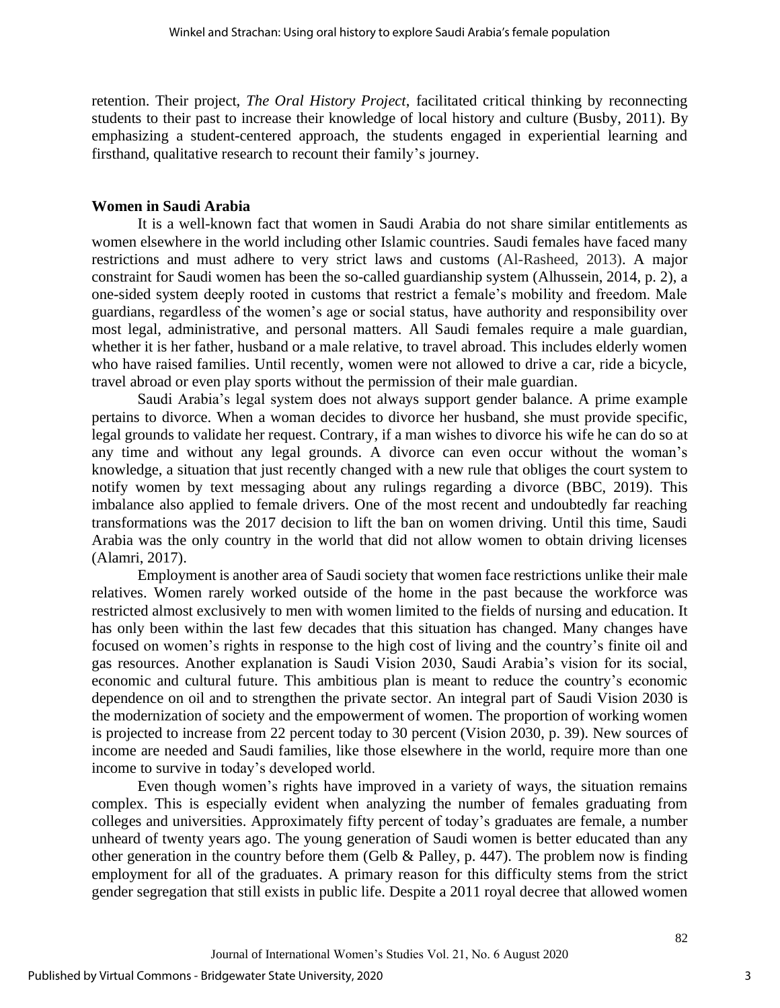retention. Their project, *The Oral History Project*, facilitated critical thinking by reconnecting students to their past to increase their knowledge of local history and culture (Busby, 2011). By emphasizing a student-centered approach, the students engaged in experiential learning and firsthand, qualitative research to recount their family's journey.

#### **Women in Saudi Arabia**

It is a well-known fact that women in Saudi Arabia do not share similar entitlements as women elsewhere in the world including other Islamic countries. Saudi females have faced many restrictions and must adhere to very strict laws and customs (Al-Rasheed, 2013). A major constraint for Saudi women has been the so-called guardianship system (Alhussein, 2014, p. 2), a one-sided system deeply rooted in customs that restrict a female's mobility and freedom. Male guardians, regardless of the women's age or social status, have authority and responsibility over most legal, administrative, and personal matters. All Saudi females require a male guardian, whether it is her father, husband or a male relative, to travel abroad. This includes elderly women who have raised families. Until recently, women were not allowed to drive a car, ride a bicycle, travel abroad or even play sports without the permission of their male guardian.

Saudi Arabia's legal system does not always support gender balance. A prime example pertains to divorce. When a woman decides to divorce her husband, she must provide specific, legal grounds to validate her request. Contrary, if a man wishes to divorce his wife he can do so at any time and without any legal grounds. A divorce can even occur without the woman's knowledge, a situation that just recently changed with a new rule that obliges the court system to notify women by text messaging about any rulings regarding a divorce (BBC, 2019). This imbalance also applied to female drivers. One of the most recent and undoubtedly far reaching transformations was the 2017 decision to lift the ban on women driving. Until this time, Saudi Arabia was the only country in the world that did not allow women to obtain driving licenses (Alamri, 2017).

Employment is another area of Saudi society that women face restrictions unlike their male relatives. Women rarely worked outside of the home in the past because the workforce was restricted almost exclusively to men with women limited to the fields of nursing and education. It has only been within the last few decades that this situation has changed. Many changes have focused on women's rights in response to the high cost of living and the country's finite oil and gas resources. Another explanation is Saudi Vision 2030, Saudi Arabia's vision for its social, economic and cultural future. This ambitious plan is meant to reduce the country's economic dependence on oil and to strengthen the private sector. An integral part of Saudi Vision 2030 is the modernization of society and the empowerment of women. The proportion of working women is projected to increase from 22 percent today to 30 percent (Vision 2030, p. 39). New sources of income are needed and Saudi families, like those elsewhere in the world, require more than one income to survive in today's developed world.

Even though women's rights have improved in a variety of ways, the situation remains complex. This is especially evident when analyzing the number of females graduating from colleges and universities. Approximately fifty percent of today's graduates are female, a number unheard of twenty years ago. The young generation of Saudi women is better educated than any other generation in the country before them (Gelb & Palley, p. 447). The problem now is finding employment for all of the graduates. A primary reason for this difficulty stems from the strict gender segregation that still exists in public life. Despite a 2011 royal decree that allowed women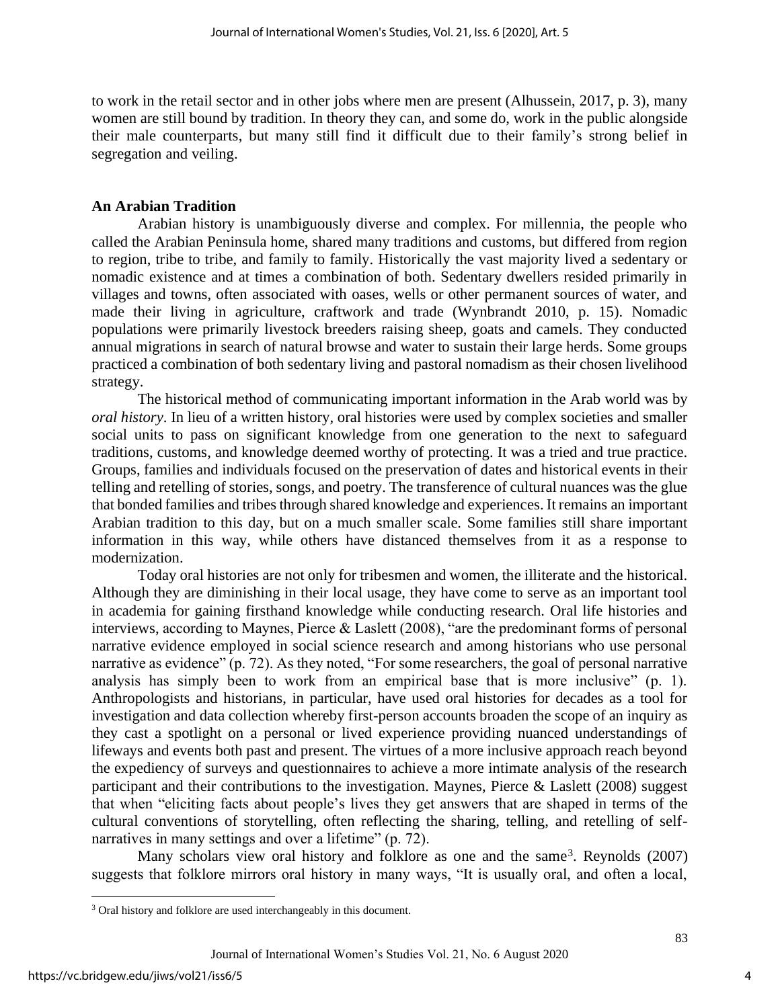to work in the retail sector and in other jobs where men are present (Alhussein, 2017, p. 3), many women are still bound by tradition. In theory they can, and some do, work in the public alongside their male counterparts, but many still find it difficult due to their family's strong belief in segregation and veiling.

#### **An Arabian Tradition**

Arabian history is unambiguously diverse and complex. For millennia, the people who called the Arabian Peninsula home, shared many traditions and customs, but differed from region to region, tribe to tribe, and family to family. Historically the vast majority lived a sedentary or nomadic existence and at times a combination of both. Sedentary dwellers resided primarily in villages and towns, often associated with oases, wells or other permanent sources of water, and made their living in agriculture, craftwork and trade (Wynbrandt 2010, p. 15). Nomadic populations were primarily livestock breeders raising sheep, goats and camels. They conducted annual migrations in search of natural browse and water to sustain their large herds. Some groups practiced a combination of both sedentary living and pastoral nomadism as their chosen livelihood strategy.

The historical method of communicating important information in the Arab world was by *oral history*. In lieu of a written history, oral histories were used by complex societies and smaller social units to pass on significant knowledge from one generation to the next to safeguard traditions, customs, and knowledge deemed worthy of protecting. It was a tried and true practice. Groups, families and individuals focused on the preservation of dates and historical events in their telling and retelling of stories, songs, and poetry. The transference of cultural nuances was the glue that bonded families and tribes through shared knowledge and experiences. It remains an important Arabian tradition to this day, but on a much smaller scale. Some families still share important information in this way, while others have distanced themselves from it as a response to modernization.

Today oral histories are not only for tribesmen and women, the illiterate and the historical. Although they are diminishing in their local usage, they have come to serve as an important tool in academia for gaining firsthand knowledge while conducting research. Oral life histories and interviews, according to Maynes, Pierce & Laslett (2008), "are the predominant forms of personal narrative evidence employed in social science research and among historians who use personal narrative as evidence" (p. 72). As they noted, "For some researchers, the goal of personal narrative analysis has simply been to work from an empirical base that is more inclusive" (p. 1). Anthropologists and historians, in particular, have used oral histories for decades as a tool for investigation and data collection whereby first-person accounts broaden the scope of an inquiry as they cast a spotlight on a personal or lived experience providing nuanced understandings of lifeways and events both past and present. The virtues of a more inclusive approach reach beyond the expediency of surveys and questionnaires to achieve a more intimate analysis of the research participant and their contributions to the investigation. Maynes, Pierce & Laslett (2008) suggest that when "eliciting facts about people's lives they get answers that are shaped in terms of the cultural conventions of storytelling, often reflecting the sharing, telling, and retelling of selfnarratives in many settings and over a lifetime" (p. 72).

Many scholars view oral history and folklore as one and the same<sup>3</sup>. Reynolds (2007) suggests that folklore mirrors oral history in many ways, "It is usually oral, and often a local,

<sup>&</sup>lt;sup>3</sup> Oral history and folklore are used interchangeably in this document.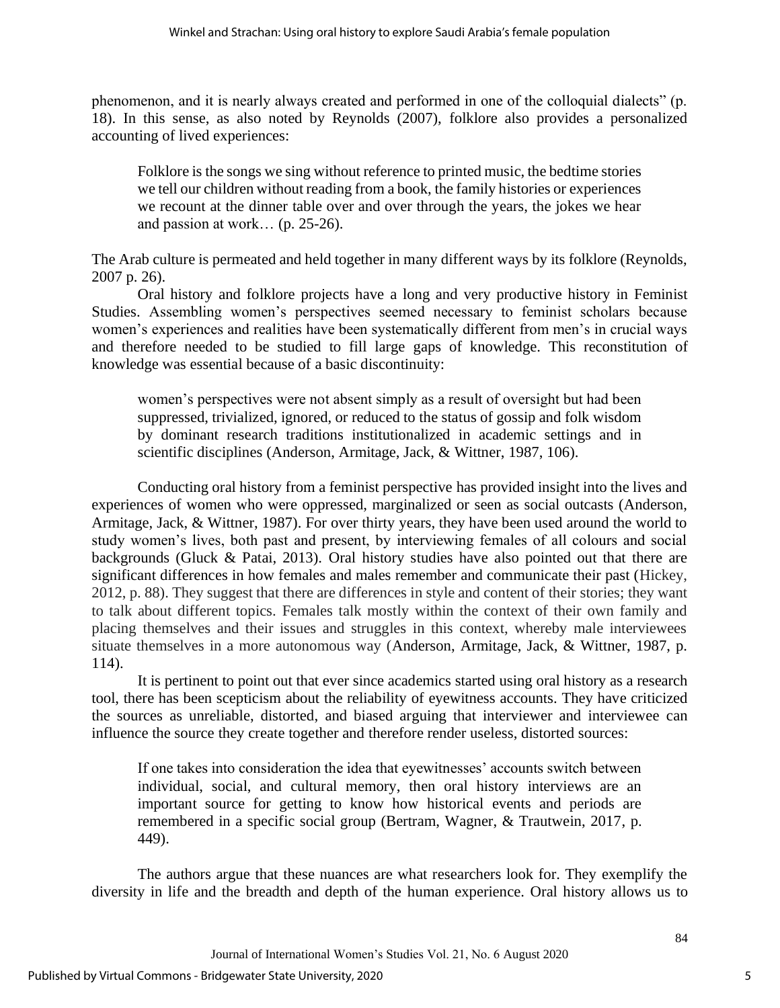phenomenon, and it is nearly always created and performed in one of the colloquial dialects" (p. 18). In this sense, as also noted by Reynolds (2007), folklore also provides a personalized accounting of lived experiences:

Folklore is the songs we sing without reference to printed music, the bedtime stories we tell our children without reading from a book, the family histories or experiences we recount at the dinner table over and over through the years, the jokes we hear and passion at work… (p. 25-26).

The Arab culture is permeated and held together in many different ways by its folklore (Reynolds, 2007 p. 26).

Oral history and folklore projects have a long and very productive history in Feminist Studies. Assembling women's perspectives seemed necessary to feminist scholars because women's experiences and realities have been systematically different from men's in crucial ways and therefore needed to be studied to fill large gaps of knowledge. This reconstitution of knowledge was essential because of a basic discontinuity:

women's perspectives were not absent simply as a result of oversight but had been suppressed, trivialized, ignored, or reduced to the status of gossip and folk wisdom by dominant research traditions institutionalized in academic settings and in scientific disciplines (Anderson, Armitage, Jack, & Wittner, 1987, 106).

Conducting oral history from a feminist perspective has provided insight into the lives and experiences of women who were oppressed, marginalized or seen as social outcasts (Anderson, Armitage, Jack, & Wittner, 1987). For over thirty years, they have been used around the world to study women's lives, both past and present, by interviewing females of all colours and social backgrounds (Gluck & Patai, 2013). Oral history studies have also pointed out that there are significant differences in how females and males remember and communicate their past (Hickey, 2012, p. 88). They suggest that there are differences in style and content of their stories; they want to talk about different topics. Females talk mostly within the context of their own family and placing themselves and their issues and struggles in this context, whereby male interviewees situate themselves in a more autonomous way (Anderson, Armitage, Jack, & Wittner, 1987, p. 114).

It is pertinent to point out that ever since academics started using oral history as a research tool, there has been scepticism about the reliability of eyewitness accounts. They have criticized the sources as unreliable, distorted, and biased arguing that interviewer and interviewee can influence the source they create together and therefore render useless, distorted sources:

If one takes into consideration the idea that eyewitnesses' accounts switch between individual, social, and cultural memory, then oral history interviews are an important source for getting to know how historical events and periods are remembered in a specific social group (Bertram, Wagner, & Trautwein, 2017, p. 449).

The authors argue that these nuances are what researchers look for. They exemplify the diversity in life and the breadth and depth of the human experience. Oral history allows us to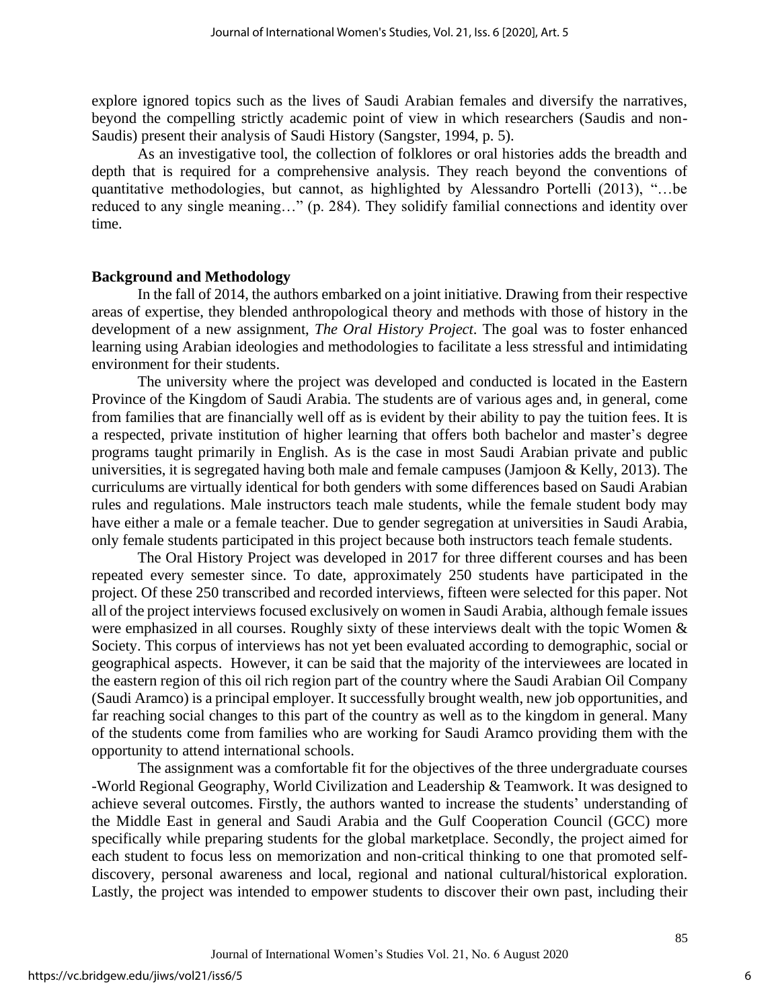explore ignored topics such as the lives of Saudi Arabian females and diversify the narratives, beyond the compelling strictly academic point of view in which researchers (Saudis and non-Saudis) present their analysis of Saudi History (Sangster, 1994, p. 5).

As an investigative tool, the collection of folklores or oral histories adds the breadth and depth that is required for a comprehensive analysis. They reach beyond the conventions of quantitative methodologies, but cannot, as highlighted by Alessandro Portelli (2013), "…be reduced to any single meaning…" (p. 284). They solidify familial connections and identity over time.

#### **Background and Methodology**

In the fall of 2014, the authors embarked on a joint initiative. Drawing from their respective areas of expertise, they blended anthropological theory and methods with those of history in the development of a new assignment, *The Oral History Project*. The goal was to foster enhanced learning using Arabian ideologies and methodologies to facilitate a less stressful and intimidating environment for their students.

The university where the project was developed and conducted is located in the Eastern Province of the Kingdom of Saudi Arabia. The students are of various ages and, in general, come from families that are financially well off as is evident by their ability to pay the tuition fees. It is a respected, private institution of higher learning that offers both bachelor and master's degree programs taught primarily in English. As is the case in most Saudi Arabian private and public universities, it is segregated having both male and female campuses (Jamjoon & Kelly, 2013). The curriculums are virtually identical for both genders with some differences based on Saudi Arabian rules and regulations. Male instructors teach male students, while the female student body may have either a male or a female teacher. Due to gender segregation at universities in Saudi Arabia, only female students participated in this project because both instructors teach female students.

The Oral History Project was developed in 2017 for three different courses and has been repeated every semester since. To date, approximately 250 students have participated in the project. Of these 250 transcribed and recorded interviews, fifteen were selected for this paper. Not all of the project interviews focused exclusively on women in Saudi Arabia, although female issues were emphasized in all courses. Roughly sixty of these interviews dealt with the topic Women & Society. This corpus of interviews has not yet been evaluated according to demographic, social or geographical aspects. However, it can be said that the majority of the interviewees are located in the eastern region of this oil rich region part of the country where the Saudi Arabian Oil Company (Saudi Aramco) is a principal employer. It successfully brought wealth, new job opportunities, and far reaching social changes to this part of the country as well as to the kingdom in general. Many of the students come from families who are working for Saudi Aramco providing them with the opportunity to attend international schools.

The assignment was a comfortable fit for the objectives of the three undergraduate courses -World Regional Geography, World Civilization and Leadership & Teamwork. It was designed to achieve several outcomes. Firstly, the authors wanted to increase the students' understanding of the Middle East in general and Saudi Arabia and the Gulf Cooperation Council (GCC) more specifically while preparing students for the global marketplace. Secondly, the project aimed for each student to focus less on memorization and non-critical thinking to one that promoted selfdiscovery, personal awareness and local, regional and national cultural/historical exploration. Lastly, the project was intended to empower students to discover their own past, including their

6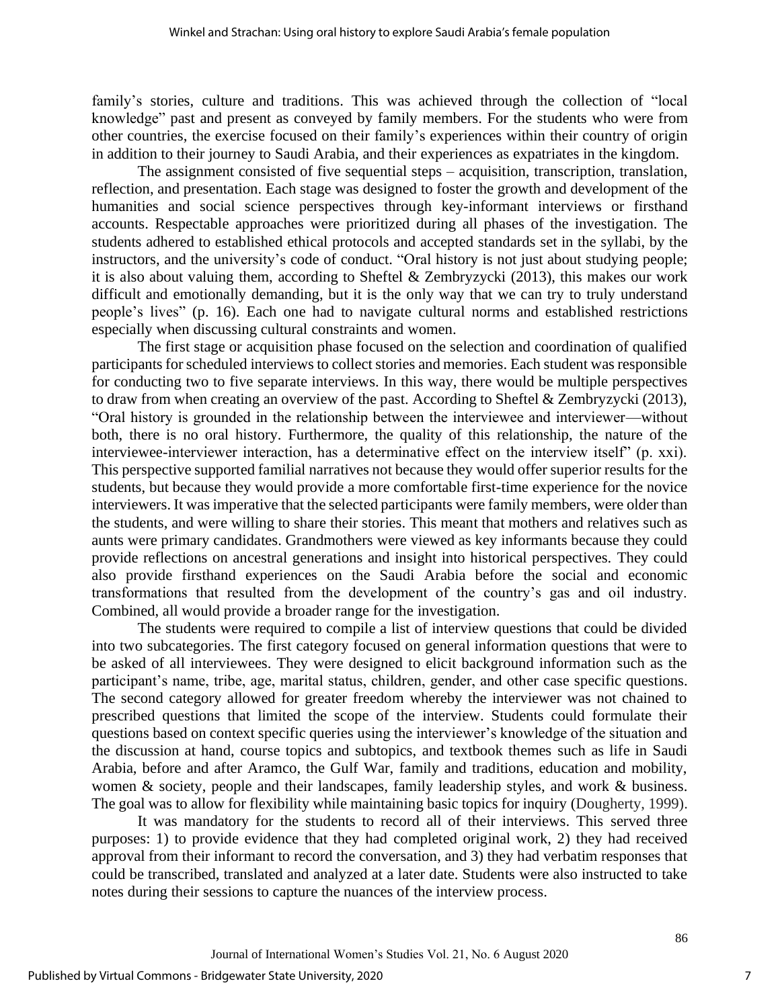family's stories, culture and traditions. This was achieved through the collection of "local knowledge" past and present as conveyed by family members. For the students who were from other countries, the exercise focused on their family's experiences within their country of origin in addition to their journey to Saudi Arabia, and their experiences as expatriates in the kingdom.

The assignment consisted of five sequential steps – acquisition, transcription, translation, reflection, and presentation. Each stage was designed to foster the growth and development of the humanities and social science perspectives through key-informant interviews or firsthand accounts. Respectable approaches were prioritized during all phases of the investigation. The students adhered to established ethical protocols and accepted standards set in the syllabi, by the instructors, and the university's code of conduct. "Oral history is not just about studying people; it is also about valuing them, according to Sheftel & Zembryzycki (2013), this makes our work difficult and emotionally demanding, but it is the only way that we can try to truly understand people's lives" (p. 16). Each one had to navigate cultural norms and established restrictions especially when discussing cultural constraints and women.

The first stage or acquisition phase focused on the selection and coordination of qualified participants for scheduled interviews to collect stories and memories. Each student was responsible for conducting two to five separate interviews. In this way, there would be multiple perspectives to draw from when creating an overview of the past. According to Sheftel & Zembryzycki (2013), "Oral history is grounded in the relationship between the interviewee and interviewer—without both, there is no oral history. Furthermore, the quality of this relationship, the nature of the interviewee-interviewer interaction, has a determinative effect on the interview itself" (p. xxi). This perspective supported familial narratives not because they would offer superior results for the students, but because they would provide a more comfortable first-time experience for the novice interviewers. It was imperative that the selected participants were family members, were older than the students, and were willing to share their stories. This meant that mothers and relatives such as aunts were primary candidates. Grandmothers were viewed as key informants because they could provide reflections on ancestral generations and insight into historical perspectives. They could also provide firsthand experiences on the Saudi Arabia before the social and economic transformations that resulted from the development of the country's gas and oil industry. Combined, all would provide a broader range for the investigation.

The students were required to compile a list of interview questions that could be divided into two subcategories. The first category focused on general information questions that were to be asked of all interviewees. They were designed to elicit background information such as the participant's name, tribe, age, marital status, children, gender, and other case specific questions. The second category allowed for greater freedom whereby the interviewer was not chained to prescribed questions that limited the scope of the interview. Students could formulate their questions based on context specific queries using the interviewer's knowledge of the situation and the discussion at hand, course topics and subtopics, and textbook themes such as life in Saudi Arabia, before and after Aramco, the Gulf War, family and traditions, education and mobility, women & society, people and their landscapes, family leadership styles, and work & business. The goal was to allow for flexibility while maintaining basic topics for inquiry (Dougherty, 1999).

It was mandatory for the students to record all of their interviews. This served three purposes: 1) to provide evidence that they had completed original work, 2) they had received approval from their informant to record the conversation, and 3) they had verbatim responses that could be transcribed, translated and analyzed at a later date. Students were also instructed to take notes during their sessions to capture the nuances of the interview process.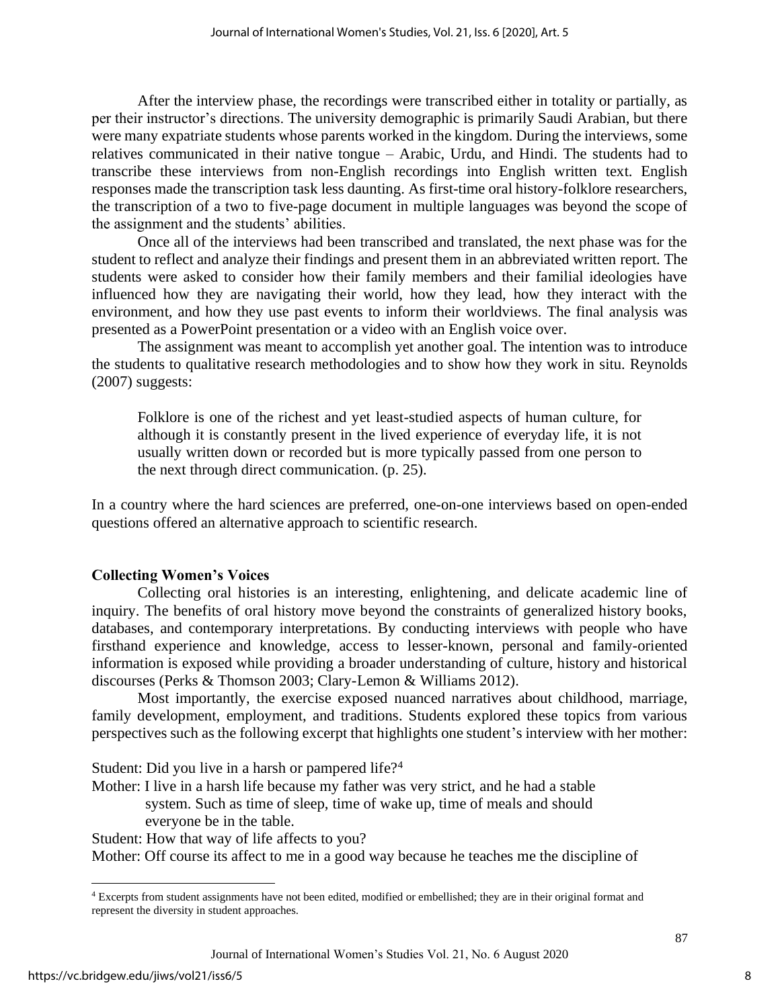After the interview phase, the recordings were transcribed either in totality or partially, as per their instructor's directions. The university demographic is primarily Saudi Arabian, but there were many expatriate students whose parents worked in the kingdom. During the interviews, some relatives communicated in their native tongue – Arabic, Urdu, and Hindi. The students had to transcribe these interviews from non-English recordings into English written text. English responses made the transcription task less daunting. As first-time oral history-folklore researchers, the transcription of a two to five-page document in multiple languages was beyond the scope of the assignment and the students' abilities.

Once all of the interviews had been transcribed and translated, the next phase was for the student to reflect and analyze their findings and present them in an abbreviated written report. The students were asked to consider how their family members and their familial ideologies have influenced how they are navigating their world, how they lead, how they interact with the environment, and how they use past events to inform their worldviews. The final analysis was presented as a PowerPoint presentation or a video with an English voice over.

The assignment was meant to accomplish yet another goal. The intention was to introduce the students to qualitative research methodologies and to show how they work in situ. Reynolds (2007) suggests:

Folklore is one of the richest and yet least-studied aspects of human culture, for although it is constantly present in the lived experience of everyday life, it is not usually written down or recorded but is more typically passed from one person to the next through direct communication. (p. 25).

In a country where the hard sciences are preferred, one-on-one interviews based on open-ended questions offered an alternative approach to scientific research.

# **Collecting Women's Voices**

Collecting oral histories is an interesting, enlightening, and delicate academic line of inquiry. The benefits of oral history move beyond the constraints of generalized history books, databases, and contemporary interpretations. By conducting interviews with people who have firsthand experience and knowledge, access to lesser-known, personal and family-oriented information is exposed while providing a broader understanding of culture, history and historical discourses (Perks & Thomson 2003; Clary-Lemon & Williams 2012).

Most importantly, the exercise exposed nuanced narratives about childhood, marriage, family development, employment, and traditions. Students explored these topics from various perspectives such as the following excerpt that highlights one student's interview with her mother:

Student: Did you live in a harsh or pampered life?<sup>4</sup>

Mother: I live in a harsh life because my father was very strict, and he had a stable

 system. Such as time of sleep, time of wake up, time of meals and should everyone be in the table.

Student: How that way of life affects to you?

Mother: Off course its affect to me in a good way because he teaches me the discipline of

<sup>4</sup> Excerpts from student assignments have not been edited, modified or embellished; they are in their original format and represent the diversity in student approaches.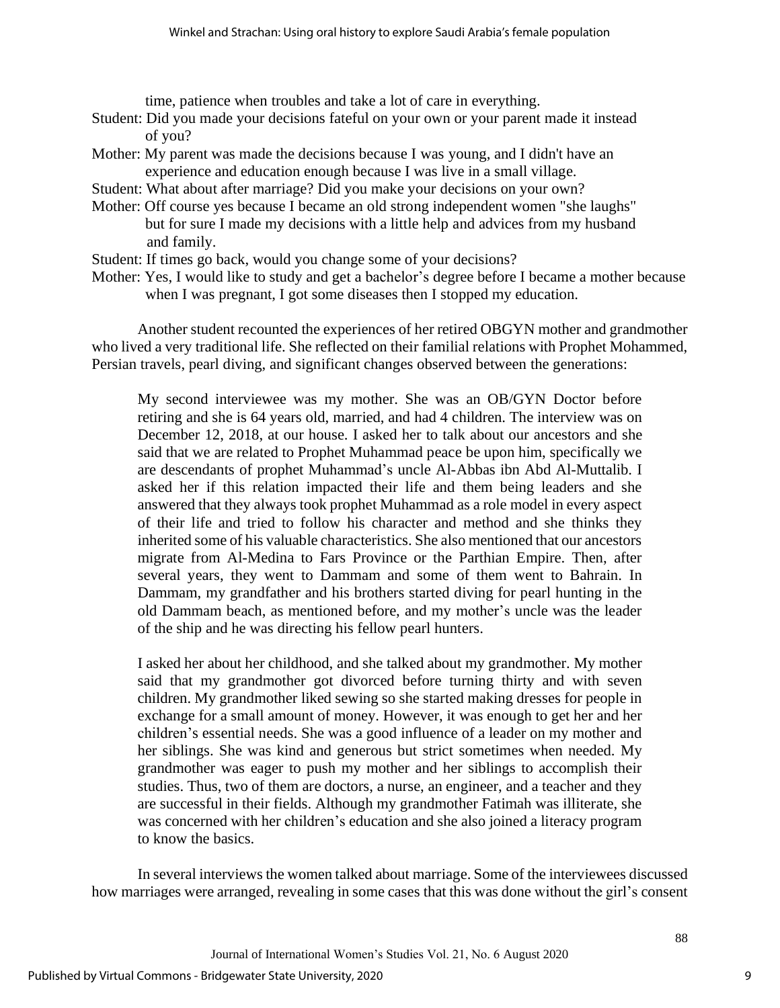time, patience when troubles and take a lot of care in everything.

- Student: Did you made your decisions fateful on your own or your parent made it instead of you?
- Mother: My parent was made the decisions because I was young, and I didn't have an experience and education enough because I was live in a small village.
- Student: What about after marriage? Did you make your decisions on your own?
- Mother: Off course yes because I became an old strong independent women "she laughs" but for sure I made my decisions with a little help and advices from my husband and family.
- Student: If times go back, would you change some of your decisions?
- Mother: Yes, I would like to study and get a bachelor's degree before I became a mother because when I was pregnant, I got some diseases then I stopped my education.

Another student recounted the experiences of her retired OBGYN mother and grandmother who lived a very traditional life. She reflected on their familial relations with Prophet Mohammed, Persian travels, pearl diving, and significant changes observed between the generations:

My second interviewee was my mother. She was an OB/GYN Doctor before retiring and she is 64 years old, married, and had 4 children. The interview was on December 12, 2018, at our house. I asked her to talk about our ancestors and she said that we are related to Prophet Muhammad peace be upon him, specifically we are descendants of prophet Muhammad's uncle Al-Abbas ibn Abd Al-Muttalib. I asked her if this relation impacted their life and them being leaders and she answered that they always took prophet Muhammad as a role model in every aspect of their life and tried to follow his character and method and she thinks they inherited some of his valuable characteristics. She also mentioned that our ancestors migrate from Al-Medina to Fars Province or the Parthian Empire. Then, after several years, they went to Dammam and some of them went to Bahrain. In Dammam, my grandfather and his brothers started diving for pearl hunting in the old Dammam beach, as mentioned before, and my mother's uncle was the leader of the ship and he was directing his fellow pearl hunters.

I asked her about her childhood, and she talked about my grandmother. My mother said that my grandmother got divorced before turning thirty and with seven children. My grandmother liked sewing so she started making dresses for people in exchange for a small amount of money. However, it was enough to get her and her children's essential needs. She was a good influence of a leader on my mother and her siblings. She was kind and generous but strict sometimes when needed. My grandmother was eager to push my mother and her siblings to accomplish their studies. Thus, two of them are doctors, a nurse, an engineer, and a teacher and they are successful in their fields. Although my grandmother Fatimah was illiterate, she was concerned with her children's education and she also joined a literacy program to know the basics.

In several interviews the women talked about marriage. Some of the interviewees discussed how marriages were arranged, revealing in some cases that this was done without the girl's consent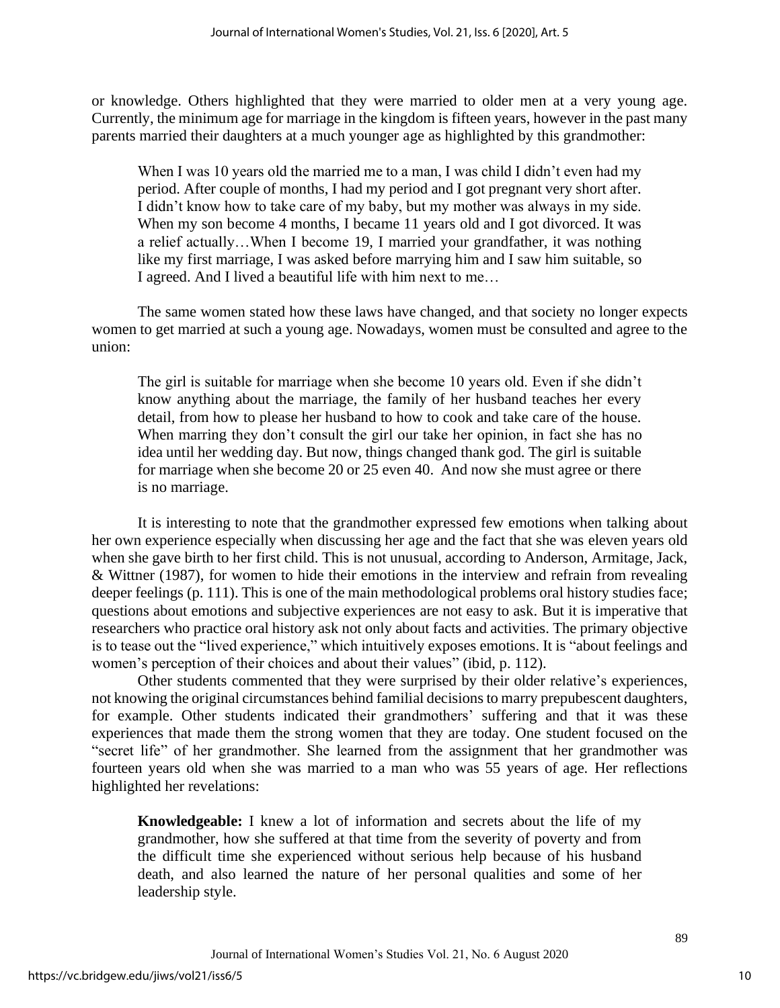or knowledge. Others highlighted that they were married to older men at a very young age. Currently, the minimum age for marriage in the kingdom is fifteen years, however in the past many parents married their daughters at a much younger age as highlighted by this grandmother:

When I was 10 years old the married me to a man, I was child I didn't even had my period. After couple of months, I had my period and I got pregnant very short after. I didn't know how to take care of my baby, but my mother was always in my side. When my son become 4 months, I became 11 years old and I got divorced. It was a relief actually…When I become 19, I married your grandfather, it was nothing like my first marriage, I was asked before marrying him and I saw him suitable, so I agreed. And I lived a beautiful life with him next to me…

The same women stated how these laws have changed, and that society no longer expects women to get married at such a young age. Nowadays, women must be consulted and agree to the union:

The girl is suitable for marriage when she become 10 years old. Even if she didn't know anything about the marriage, the family of her husband teaches her every detail, from how to please her husband to how to cook and take care of the house. When marring they don't consult the girl our take her opinion, in fact she has no idea until her wedding day. But now, things changed thank god. The girl is suitable for marriage when she become 20 or 25 even 40. And now she must agree or there is no marriage.

It is interesting to note that the grandmother expressed few emotions when talking about her own experience especially when discussing her age and the fact that she was eleven years old when she gave birth to her first child. This is not unusual, according to Anderson, Armitage, Jack, & Wittner (1987), for women to hide their emotions in the interview and refrain from revealing deeper feelings (p. 111). This is one of the main methodological problems oral history studies face; questions about emotions and subjective experiences are not easy to ask. But it is imperative that researchers who practice oral history ask not only about facts and activities. The primary objective is to tease out the "lived experience," which intuitively exposes emotions. It is "about feelings and women's perception of their choices and about their values" (ibid, p. 112).

Other students commented that they were surprised by their older relative's experiences, not knowing the original circumstances behind familial decisions to marry prepubescent daughters, for example. Other students indicated their grandmothers' suffering and that it was these experiences that made them the strong women that they are today. One student focused on the "secret life" of her grandmother. She learned from the assignment that her grandmother was fourteen years old when she was married to a man who was 55 years of age. Her reflections highlighted her revelations:

**Knowledgeable:** I knew a lot of information and secrets about the life of my grandmother, how she suffered at that time from the severity of poverty and from the difficult time she experienced without serious help because of his husband death, and also learned the nature of her personal qualities and some of her leadership style.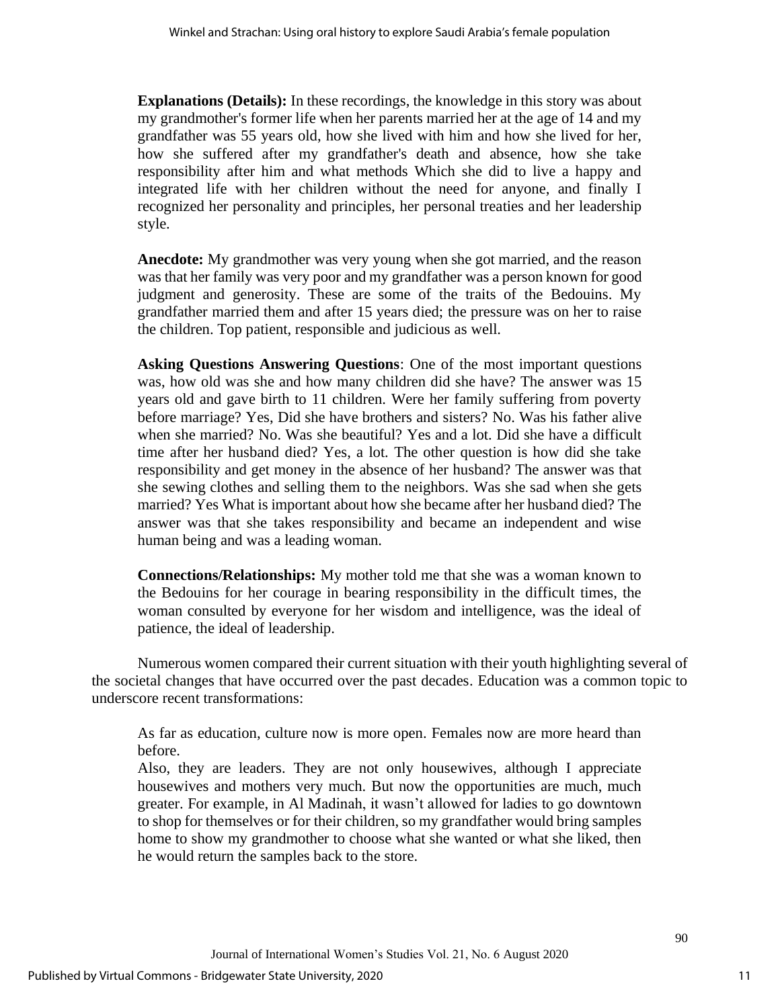**Explanations (Details):** In these recordings, the knowledge in this story was about my grandmother's former life when her parents married her at the age of 14 and my grandfather was 55 years old, how she lived with him and how she lived for her, how she suffered after my grandfather's death and absence, how she take responsibility after him and what methods Which she did to live a happy and integrated life with her children without the need for anyone, and finally I recognized her personality and principles, her personal treaties and her leadership style.

**Anecdote:** My grandmother was very young when she got married, and the reason was that her family was very poor and my grandfather was a person known for good judgment and generosity. These are some of the traits of the Bedouins. My grandfather married them and after 15 years died; the pressure was on her to raise the children. Top patient, responsible and judicious as well.

**Asking Questions Answering Questions**: One of the most important questions was, how old was she and how many children did she have? The answer was 15 years old and gave birth to 11 children. Were her family suffering from poverty before marriage? Yes, Did she have brothers and sisters? No. Was his father alive when she married? No. Was she beautiful? Yes and a lot. Did she have a difficult time after her husband died? Yes, a lot. The other question is how did she take responsibility and get money in the absence of her husband? The answer was that she sewing clothes and selling them to the neighbors. Was she sad when she gets married? Yes What is important about how she became after her husband died? The answer was that she takes responsibility and became an independent and wise human being and was a leading woman.

**Connections/Relationships:** My mother told me that she was a woman known to the Bedouins for her courage in bearing responsibility in the difficult times, the woman consulted by everyone for her wisdom and intelligence, was the ideal of patience, the ideal of leadership.

Numerous women compared their current situation with their youth highlighting several of the societal changes that have occurred over the past decades. Education was a common topic to underscore recent transformations:

As far as education, culture now is more open. Females now are more heard than before.

Also, they are leaders. They are not only housewives, although I appreciate housewives and mothers very much. But now the opportunities are much, much greater. For example, in Al Madinah, it wasn't allowed for ladies to go downtown to shop for themselves or for their children, so my grandfather would bring samples home to show my grandmother to choose what she wanted or what she liked, then he would return the samples back to the store.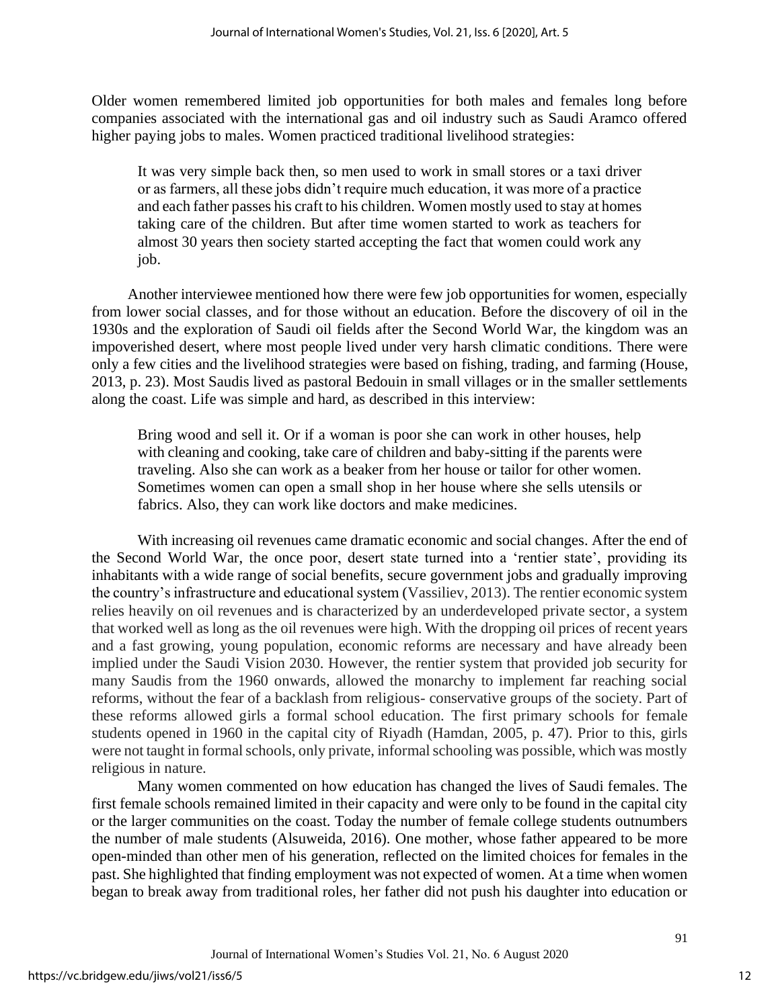Older women remembered limited job opportunities for both males and females long before companies associated with the international gas and oil industry such as Saudi Aramco offered higher paying jobs to males. Women practiced traditional livelihood strategies:

It was very simple back then, so men used to work in small stores or a taxi driver or as farmers, all these jobs didn't require much education, it was more of a practice and each father passes his craft to his children. Women mostly used to stay at homes taking care of the children. But after time women started to work as teachers for almost 30 years then society started accepting the fact that women could work any job.

Another interviewee mentioned how there were few job opportunities for women, especially from lower social classes, and for those without an education. Before the discovery of oil in the 1930s and the exploration of Saudi oil fields after the Second World War, the kingdom was an impoverished desert, where most people lived under very harsh climatic conditions. There were only a few cities and the livelihood strategies were based on fishing, trading, and farming (House, 2013, p. 23). Most Saudis lived as pastoral Bedouin in small villages or in the smaller settlements along the coast. Life was simple and hard, as described in this interview:

Bring wood and sell it. Or if a woman is poor she can work in other houses, help with cleaning and cooking, take care of children and baby-sitting if the parents were traveling. Also she can work as a beaker from her house or tailor for other women. Sometimes women can open a small shop in her house where she sells utensils or fabrics. Also, they can work like doctors and make medicines.

With increasing oil revenues came dramatic economic and social changes. After the end of the Second World War, the once poor, desert state turned into a 'rentier state', providing its inhabitants with a wide range of social benefits, secure government jobs and gradually improving the country's infrastructure and educational system (Vassiliev, 2013). The rentier economic system relies heavily on oil revenues and is characterized by an underdeveloped private sector, a system that worked well as long as the oil revenues were high. With the dropping oil prices of recent years and a fast growing, young population, economic reforms are necessary and have already been implied under the Saudi Vision 2030. However, the rentier system that provided job security for many Saudis from the 1960 onwards, allowed the monarchy to implement far reaching social reforms, without the fear of a backlash from religious- conservative groups of the society. Part of these reforms allowed girls a formal school education. The first primary schools for female students opened in 1960 in the capital city of Riyadh (Hamdan, 2005, p. 47). Prior to this, girls were not taught in formal schools, only private, informal schooling was possible, which was mostly religious in nature.

Many women commented on how education has changed the lives of Saudi females. The first female schools remained limited in their capacity and were only to be found in the capital city or the larger communities on the coast. Today the number of female college students outnumbers the number of male students (Alsuweida, 2016). One mother, whose father appeared to be more open-minded than other men of his generation, reflected on the limited choices for females in the past. She highlighted that finding employment was not expected of women. At a time when women began to break away from traditional roles, her father did not push his daughter into education or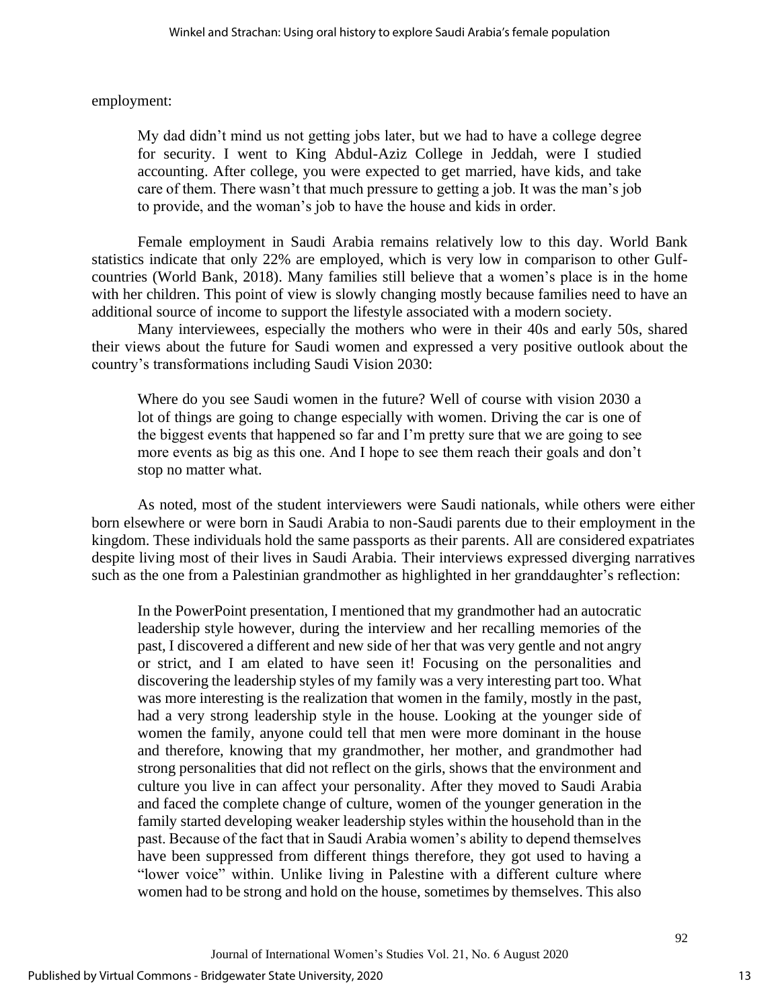employment:

My dad didn't mind us not getting jobs later, but we had to have a college degree for security. I went to King Abdul-Aziz College in Jeddah, were I studied accounting. After college, you were expected to get married, have kids, and take care of them. There wasn't that much pressure to getting a job. It was the man's job to provide, and the woman's job to have the house and kids in order.

Female employment in Saudi Arabia remains relatively low to this day. World Bank statistics indicate that only 22% are employed, which is very low in comparison to other Gulfcountries (World Bank, 2018). Many families still believe that a women's place is in the home with her children. This point of view is slowly changing mostly because families need to have an additional source of income to support the lifestyle associated with a modern society.

Many interviewees, especially the mothers who were in their 40s and early 50s, shared their views about the future for Saudi women and expressed a very positive outlook about the country's transformations including Saudi Vision 2030:

Where do you see Saudi women in the future? Well of course with vision 2030 a lot of things are going to change especially with women. Driving the car is one of the biggest events that happened so far and I'm pretty sure that we are going to see more events as big as this one. And I hope to see them reach their goals and don't stop no matter what.

As noted, most of the student interviewers were Saudi nationals, while others were either born elsewhere or were born in Saudi Arabia to non-Saudi parents due to their employment in the kingdom. These individuals hold the same passports as their parents. All are considered expatriates despite living most of their lives in Saudi Arabia. Their interviews expressed diverging narratives such as the one from a Palestinian grandmother as highlighted in her granddaughter's reflection:

In the PowerPoint presentation, I mentioned that my grandmother had an autocratic leadership style however, during the interview and her recalling memories of the past, I discovered a different and new side of her that was very gentle and not angry or strict, and I am elated to have seen it! Focusing on the personalities and discovering the leadership styles of my family was a very interesting part too. What was more interesting is the realization that women in the family, mostly in the past, had a very strong leadership style in the house. Looking at the younger side of women the family, anyone could tell that men were more dominant in the house and therefore, knowing that my grandmother, her mother, and grandmother had strong personalities that did not reflect on the girls, shows that the environment and culture you live in can affect your personality. After they moved to Saudi Arabia and faced the complete change of culture, women of the younger generation in the family started developing weaker leadership styles within the household than in the past. Because of the fact that in Saudi Arabia women's ability to depend themselves have been suppressed from different things therefore, they got used to having a "lower voice" within. Unlike living in Palestine with a different culture where women had to be strong and hold on the house, sometimes by themselves. This also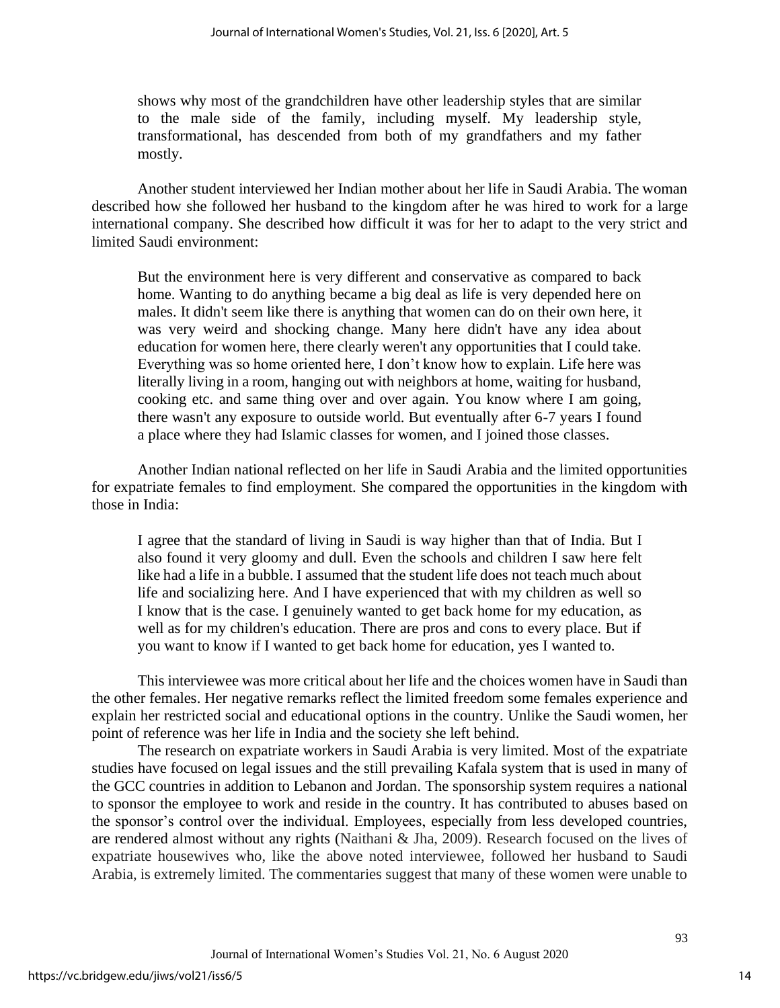shows why most of the grandchildren have other leadership styles that are similar to the male side of the family, including myself. My leadership style, transformational, has descended from both of my grandfathers and my father mostly.

Another student interviewed her Indian mother about her life in Saudi Arabia. The woman described how she followed her husband to the kingdom after he was hired to work for a large international company. She described how difficult it was for her to adapt to the very strict and limited Saudi environment:

But the environment here is very different and conservative as compared to back home. Wanting to do anything became a big deal as life is very depended here on males. It didn't seem like there is anything that women can do on their own here, it was very weird and shocking change. Many here didn't have any idea about education for women here, there clearly weren't any opportunities that I could take. Everything was so home oriented here, I don't know how to explain. Life here was literally living in a room, hanging out with neighbors at home, waiting for husband, cooking etc. and same thing over and over again. You know where I am going, there wasn't any exposure to outside world. But eventually after 6-7 years I found a place where they had Islamic classes for women, and I joined those classes.

Another Indian national reflected on her life in Saudi Arabia and the limited opportunities for expatriate females to find employment. She compared the opportunities in the kingdom with those in India:

I agree that the standard of living in Saudi is way higher than that of India. But I also found it very gloomy and dull. Even the schools and children I saw here felt like had a life in a bubble. I assumed that the student life does not teach much about life and socializing here. And I have experienced that with my children as well so I know that is the case. I genuinely wanted to get back home for my education, as well as for my children's education. There are pros and cons to every place. But if you want to know if I wanted to get back home for education, yes I wanted to.

This interviewee was more critical about her life and the choices women have in Saudi than the other females. Her negative remarks reflect the limited freedom some females experience and explain her restricted social and educational options in the country. Unlike the Saudi women, her point of reference was her life in India and the society she left behind.

The research on expatriate workers in Saudi Arabia is very limited. Most of the expatriate studies have focused on legal issues and the still prevailing Kafala system that is used in many of the GCC countries in addition to Lebanon and Jordan. The sponsorship system requires a national to sponsor the employee to work and reside in the country. It has contributed to abuses based on the sponsor's control over the individual. Employees, especially from less developed countries, are rendered almost without any rights (Naithani & Jha, 2009). Research focused on the lives of expatriate housewives who, like the above noted interviewee, followed her husband to Saudi Arabia, is extremely limited. The commentaries suggest that many of these women were unable to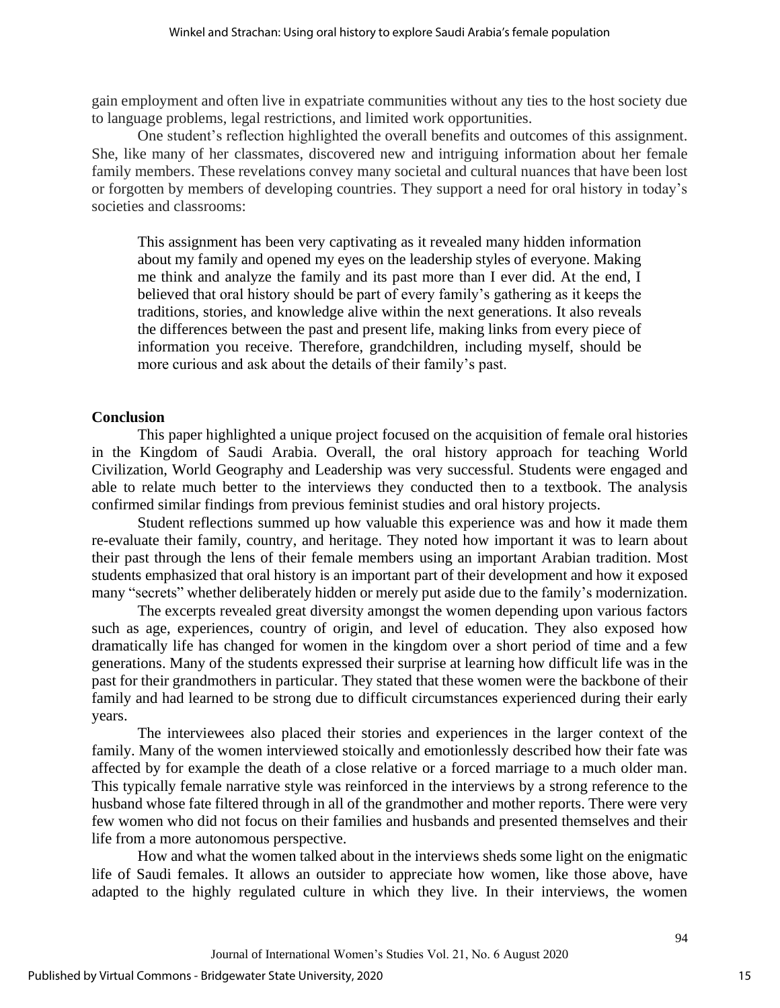gain employment and often live in expatriate communities without any ties to the host society due to language problems, legal restrictions, and limited work opportunities.

One student's reflection highlighted the overall benefits and outcomes of this assignment. She, like many of her classmates, discovered new and intriguing information about her female family members. These revelations convey many societal and cultural nuances that have been lost or forgotten by members of developing countries. They support a need for oral history in today's societies and classrooms:

This assignment has been very captivating as it revealed many hidden information about my family and opened my eyes on the leadership styles of everyone. Making me think and analyze the family and its past more than I ever did. At the end, I believed that oral history should be part of every family's gathering as it keeps the traditions, stories, and knowledge alive within the next generations. It also reveals the differences between the past and present life, making links from every piece of information you receive. Therefore, grandchildren, including myself, should be more curious and ask about the details of their family's past.

# **Conclusion**

This paper highlighted a unique project focused on the acquisition of female oral histories in the Kingdom of Saudi Arabia. Overall, the oral history approach for teaching World Civilization, World Geography and Leadership was very successful. Students were engaged and able to relate much better to the interviews they conducted then to a textbook. The analysis confirmed similar findings from previous feminist studies and oral history projects.

Student reflections summed up how valuable this experience was and how it made them re-evaluate their family, country, and heritage. They noted how important it was to learn about their past through the lens of their female members using an important Arabian tradition. Most students emphasized that oral history is an important part of their development and how it exposed many "secrets" whether deliberately hidden or merely put aside due to the family's modernization.

The excerpts revealed great diversity amongst the women depending upon various factors such as age, experiences, country of origin, and level of education. They also exposed how dramatically life has changed for women in the kingdom over a short period of time and a few generations. Many of the students expressed their surprise at learning how difficult life was in the past for their grandmothers in particular. They stated that these women were the backbone of their family and had learned to be strong due to difficult circumstances experienced during their early years.

The interviewees also placed their stories and experiences in the larger context of the family. Many of the women interviewed stoically and emotionlessly described how their fate was affected by for example the death of a close relative or a forced marriage to a much older man. This typically female narrative style was reinforced in the interviews by a strong reference to the husband whose fate filtered through in all of the grandmother and mother reports. There were very few women who did not focus on their families and husbands and presented themselves and their life from a more autonomous perspective.

How and what the women talked about in the interviews sheds some light on the enigmatic life of Saudi females. It allows an outsider to appreciate how women, like those above, have adapted to the highly regulated culture in which they live. In their interviews, the women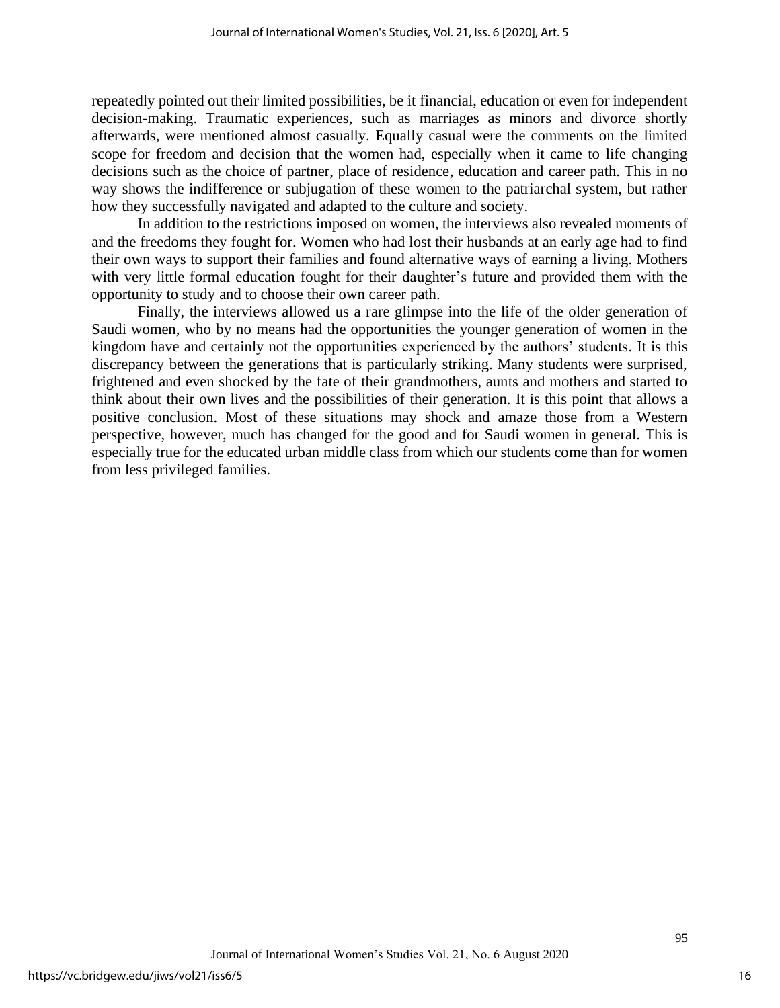repeatedly pointed out their limited possibilities, be it financial, education or even for independent decision-making. Traumatic experiences, such as marriages as minors and divorce shortly afterwards, were mentioned almost casually. Equally casual were the comments on the limited scope for freedom and decision that the women had, especially when it came to life changing decisions such as the choice of partner, place of residence, education and career path. This in no way shows the indifference or subjugation of these women to the patriarchal system, but rather how they successfully navigated and adapted to the culture and society.

In addition to the restrictions imposed on women, the interviews also revealed moments of and the freedoms they fought for. Women who had lost their husbands at an early age had to find their own ways to support their families and found alternative ways of earning a living. Mothers with very little formal education fought for their daughter's future and provided them with the opportunity to study and to choose their own career path.

Finally, the interviews allowed us a rare glimpse into the life of the older generation of Saudi women, who by no means had the opportunities the younger generation of women in the kingdom have and certainly not the opportunities experienced by the authors' students. It is this discrepancy between the generations that is particularly striking. Many students were surprised, frightened and even shocked by the fate of their grandmothers, aunts and mothers and started to think about their own lives and the possibilities of their generation. It is this point that allows a positive conclusion. Most of these situations may shock and amaze those from a Western perspective, however, much has changed for the good and for Saudi women in general. This is especially true for the educated urban middle class from which our students come than for women from less privileged families.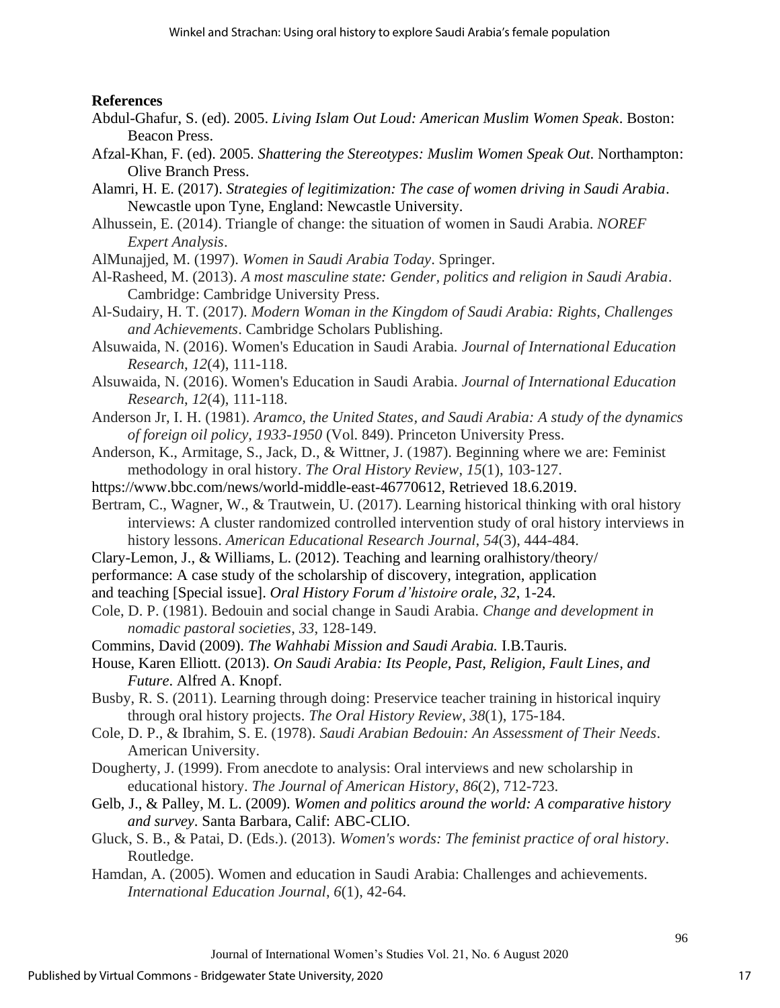# **References**

- Abdul-Ghafur, S. (ed). 2005. *Living Islam Out Loud: American Muslim Women Speak*. Boston: Beacon Press.
- Afzal-Khan, F. (ed). 2005. *Shattering the Stereotypes: Muslim Women Speak Out*. Northampton: Olive Branch Press.
- Alamri, H. E. (2017). *Strategies of legitimization: The case of women driving in Saudi Arabia*. Newcastle upon Tyne, England: Newcastle University.
- Alhussein, E. (2014). Triangle of change: the situation of women in Saudi Arabia. *NOREF Expert Analysis*.
- AlMunajjed, M. (1997). *Women in Saudi Arabia Today*. Springer.
- Al-Rasheed, M. (2013). *A most masculine state: Gender, politics and religion in Saudi Arabia*. Cambridge: Cambridge University Press.
- Al-Sudairy, H. T. (2017). *Modern Woman in the Kingdom of Saudi Arabia: Rights, Challenges and Achievements*. Cambridge Scholars Publishing.
- Alsuwaida, N. (2016). Women's Education in Saudi Arabia. *Journal of International Education Research*, *12*(4), 111-118.
- Alsuwaida, N. (2016). Women's Education in Saudi Arabia. *Journal of International Education Research*, *12*(4), 111-118.
- Anderson Jr, I. H. (1981). *Aramco, the United States, and Saudi Arabia: A study of the dynamics of foreign oil policy, 1933-1950* (Vol. 849). Princeton University Press.
- Anderson, K., Armitage, S., Jack, D., & Wittner, J. (1987). Beginning where we are: Feminist methodology in oral history. *The Oral History Review*, *15*(1), 103-127.
- https://www.bbc.com/news/world-middle-east-46770612, Retrieved 18.6.2019.
- Bertram, C., Wagner, W., & Trautwein, U. (2017). Learning historical thinking with oral history interviews: A cluster randomized controlled intervention study of oral history interviews in history lessons. *American Educational Research Journal*, *54*(3), 444-484.
- Clary-Lemon, J., & Williams, L. (2012). Teaching and learning oralhistory/theory/
- performance: A case study of the scholarship of discovery, integration, application
- and teaching [Special issue]. *Oral History Forum d'histoire orale, 32*, 1-24.
- Cole, D. P. (1981). Bedouin and social change in Saudi Arabia. *Change and development in nomadic pastoral societies*, *33*, 128-149.
- Commins, David (2009). *The Wahhabi Mission and Saudi Arabia.* I.B.Tauris*.*
- House, Karen Elliott. (2013). *On Saudi Arabia: Its People, Past, Religion, Fault Lines, and Future*. Alfred A. Knopf.
- Busby, R. S. (2011). Learning through doing: Preservice teacher training in historical inquiry through oral history projects. *The Oral History Review*, *38*(1), 175-184.
- Cole, D. P., & Ibrahim, S. E. (1978). *Saudi Arabian Bedouin: An Assessment of Their Needs*. American University.
- Dougherty, J. (1999). From anecdote to analysis: Oral interviews and new scholarship in educational history. *The Journal of American History*, *86*(2), 712-723.
- Gelb, J., & Palley, M. L. (2009). *Women and politics around the world: A comparative history and survey*. Santa Barbara, Calif: ABC-CLIO.
- Gluck, S. B., & Patai, D. (Eds.). (2013). *Women's words: The feminist practice of oral history*. Routledge.
- Hamdan, A. (2005). Women and education in Saudi Arabia: Challenges and achievements. *International Education Journal*, *6*(1), 42-64.